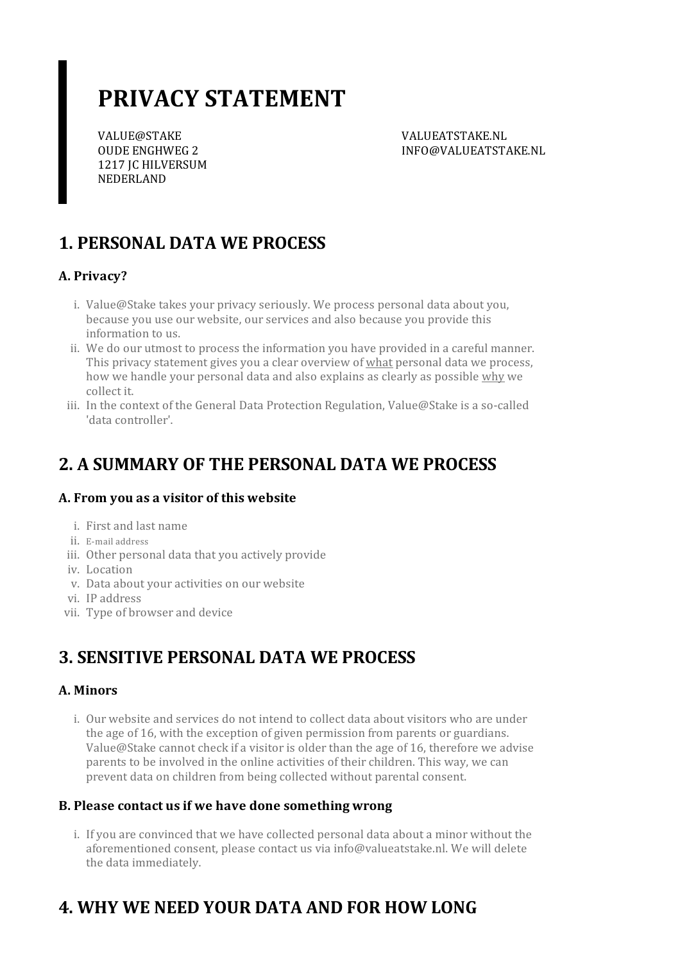# **PRIVACY STATEMENT**

VALUE@STAKE OUDE ENGHWEG 2 1217 JC HILVERSUM NEDERLAND

VALUEATSTAKE.NL INFO@VALUEATSTAKE.NL

# **1. PERSONAL DATA WE PROCESS**

### **A. Privacy?**

- i. Value@Stake takes your privacy seriously. We process personal data about you, because you use our website, our services and also because you provide this information to us.
- ii. We do our utmost to process the information you have provided in a careful manner. This privacy statement gives you a clear overview of what personal data we process, how we handle your personal data and also explains as clearly as possible why we collect it.
- iii. In the context of the General Data Protection Regulation, Value@Stake is a so-called 'data controller'.

### **2. A SUMMARY OF THE PERSONAL DATA WE PROCESS**

### **A. From you as a visitor of this website**

- i. First and last name
- ii. E-mail address
- iii. Other personal data that you actively provide
- iv. Location
- v. Data about your activities on our website
- vi. IP address
- vii. Type of browser and device

## **3. SENSITIVE PERSONAL DATA WE PROCESS**

#### **A. Minors**

i. Our website and services do not intend to collect data about visitors who are under the age of 16, with the exception of given permission from parents or guardians. Value@Stake cannot check if a visitor is older than the age of 16, therefore we advise parents to be involved in the online activities of their children. This way, we can prevent data on children from being collected without parental consent.

#### **B. Please contact usif we have done somethingwrong**

i. If you are convinced that we have collected personal data about a minor without the aforementioned consent, please contact us via info@valueatstake.nl. We will delete the data immediately.

# **4. WHY WE NEED YOUR DATA AND FOR HOW LONG**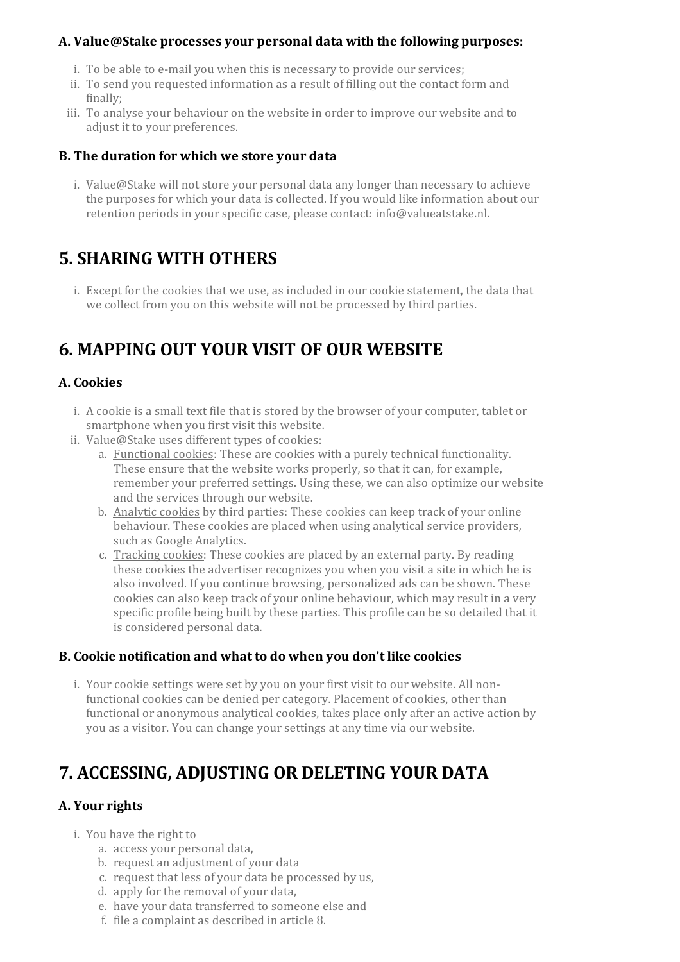#### **A. Value@Stake processes your personal data with the following purposes:**

- i. To be able to e-mail you when this is necessary to provide our services;
- ii. To send you requested information as a result of filling out the contact form and finally;
- iii. To analyse your behaviour on the website in order to improve our website and to adjust it to your preferences.

#### **B. The duration for which we store your data**

i. Value@Stake will not store your personal data any longer than necessary to achieve the purposes for which your data is collected. If you would like information about our retention periods in your specific case, please contact: info@valueatstake.nl.

### **5. SHARING WITH OTHERS**

i. Except for the cookies that we use, as included in our cookie statement, the data that we collect from you on this website will not be processed by third parties.

### **6. MAPPING OUT YOUR VISIT OF OUR WEBSITE**

#### **A. Cookies**

- i. A cookie is a small text file that is stored by the browser of your computer, tablet or smartphone when you first visit this website.
- ii. Value@Stake uses different types of cookies:
	- a. Functional cookies: These are cookies with a purely technical functionality. These ensure that the website works properly, so that it can, for example, remember your preferred settings. Using these, we can also optimize our website and the services through our website.
	- b. Analytic cookies by third parties: These cookies can keep track of your online behaviour. These cookies are placed when using analytical service providers, such as Google Analytics.
	- c. Tracking cookies: These cookies are placed by an external party. By reading these cookies the advertiser recognizes you when you visit a site in which he is also involved. If you continue browsing, personalized ads can be shown. These cookies can also keep track of your online behaviour, which may result in a very specific profile being built by these parties. This profile can be so detailed that it is considered personal data.

#### **B. Cookie notification and what to do when you don't like cookies**

i. Your cookie settings were set by you on your first visit to our website. All nonfunctional cookies can be denied per category. Placement of cookies, other than functional or anonymous analytical cookies, takes place only after an active action by you as a visitor. You can change your settings at any time via our website.

## **7. ACCESSING, ADJUSTING OR DELETING YOUR DATA**

### **A.** Your rights

- i. You have the right to
	- a. access your personal data,
	- b. request an adjustment of your data
	- c. request that less of your data be processed by us,
	- d. apply for the removal of your data,
	- e. have your data transferred to someone else and
	- f. file a complaint as described in article 8.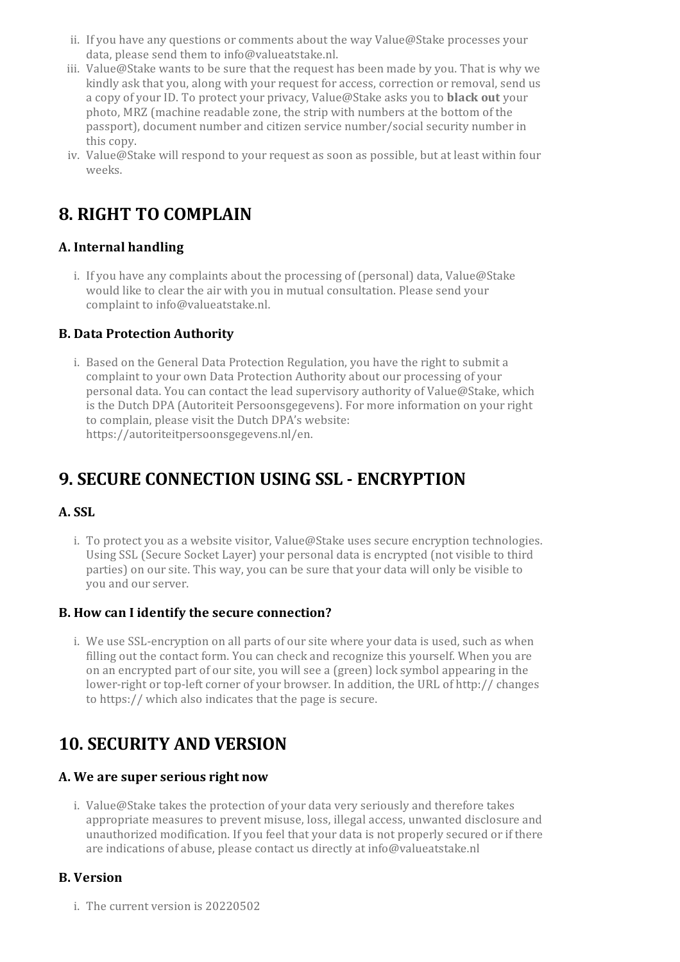- ii. If you have any questions or comments about the way Value@Stake processes your data, please send them to info@valueatstake.nl.
- iii. Value@Stake wants to be sure that the request has been made by you. That is why we kindly ask that you, along with your request for access, correction or removal, send us a copy of yourID. To protect your privacy, Value@Stake asks you to **black out** your photo, MRZ (machine readable zone, the strip with numbers at the bottom of the passport), document number and citizen service number/social security numberin this copy.
- iv. Value@Stake will respond to your request as soon as possible, but at least within four weeks.

# **8. RIGHT TO COMPLAIN**

### **A. Internal handling**

i. If you have any complaints about the processing of (personal) data, Value@Stake would like to clear the air with you in mutual consultation. Please send your complaint to info@valueatstake.nl.

#### **B. Data Protection Authority**

i. Based on the General Data Protection Regulation, you have the right to submit a complaint to your own Data Protection Authority about our processing of your personal data. You can contact the lead supervisory authority of Value@Stake, which is the Dutch DPA (Autoriteit Persoonsgegevens). For more information on your right to complain, please visit the Dutch DPA's website: https://autoriteitpersoonsgegevens.nl/en.

# **9. SECURE CONNECTION USING SSL - ENCRYPTION**

### **A. SSL**

i. To protect you as a website visitor, Value@Stake uses secure encryption technologies. Using SSL (Secure Socket Layer) your personal data is encrypted (not visible to third parties) on oursite. This way, you can be sure that your data will only be visible to you and ourserver.

#### **B. How can I identify the secure connection?**

i. We use SSL-encryption on all parts of our site where your data is used, such as when filling out the contact form. You can check and recognize this yourself. When you are on an encrypted part of oursite, you will see a (green) lock symbol appearing in the lower-right or top-left corner of your browser. In addition, the URL of http:// changes to https:// which also indicates that the page is secure.

## **10. SECURITY AND VERSION**

#### **A. We are superseriousright now**

i. Value@Stake takes the protection of your data very seriously and therefore takes appropriate measures to prevent misuse, loss, illegal access, unwanted disclosure and unauthorized modification. If you feel that your data is not properly secured orif there are indications of abuse, please contact us directly at info@valueatstake.nl

#### **B. Version**

i. The current version is 20220502